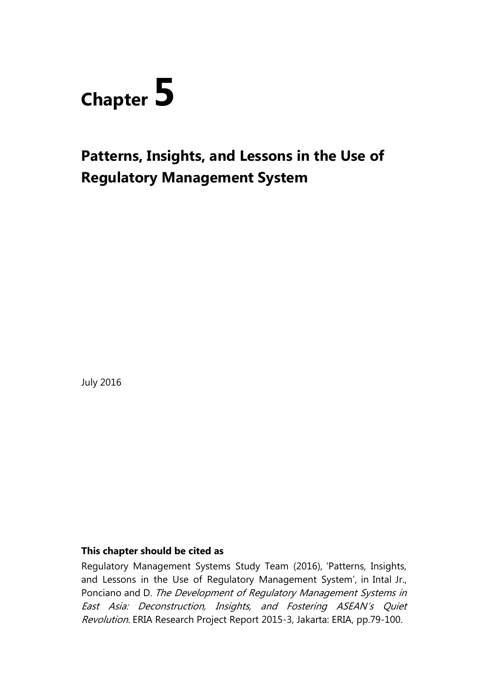

# **Patterns, Insights, and Lessons in the Use of Regulatory Management System**

July 2016

## **This chapter should be cited as**

Regulatory Management Systems Study Team (2016), 'Patterns, Insights, and Lessons in the Use of Regulatory Management System', in Intal Jr., Ponciano and D. The Development of Regulatory Management Systems in East Asia: Deconstruction, Insights, and Fostering ASEAN's Quiet Revolution. ERIA Research Project Report 2015-3, Jakarta: ERIA, pp.79-100.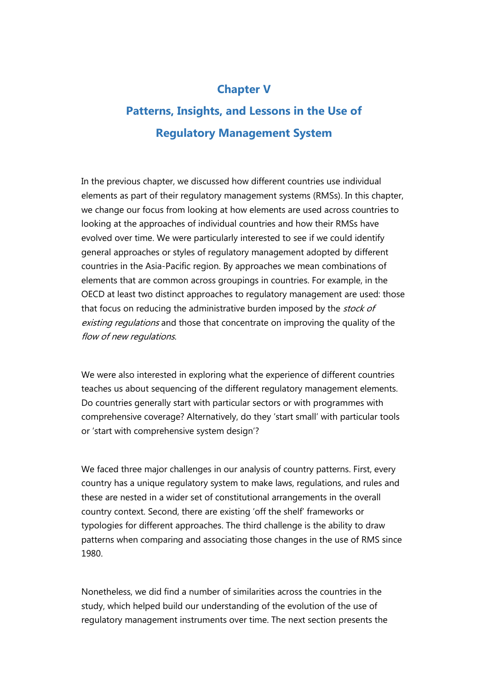## **Chapter V**

## **Patterns, Insights, and Lessons in the Use of Regulatory Management System**

In the previous chapter, we discussed how different countries use individual elements as part of their regulatory management systems (RMSs). In this chapter, we change our focus from looking at how elements are used across countries to looking at the approaches of individual countries and how their RMSs have evolved over time. We were particularly interested to see if we could identify general approaches or styles of regulatory management adopted by different countries in the Asia-Pacific region. By approaches we mean combinations of elements that are common across groupings in countries. For example, in the OECD at least two distinct approaches to regulatory management are used: those that focus on reducing the administrative burden imposed by the *stock of* existing regulations and those that concentrate on improving the quality of the flow of new regulations.

We were also interested in exploring what the experience of different countries teaches us about sequencing of the different regulatory management elements. Do countries generally start with particular sectors or with programmes with comprehensive coverage? Alternatively, do they 'start small' with particular tools or 'start with comprehensive system design'?

We faced three major challenges in our analysis of country patterns. First, every country has a unique regulatory system to make laws, regulations, and rules and these are nested in a wider set of constitutional arrangements in the overall country context. Second, there are existing 'off the shelf' frameworks or typologies for different approaches. The third challenge is the ability to draw patterns when comparing and associating those changes in the use of RMS since 1980.

Nonetheless, we did find a number of similarities across the countries in the study, which helped build our understanding of the evolution of the use of regulatory management instruments over time. The next section presents the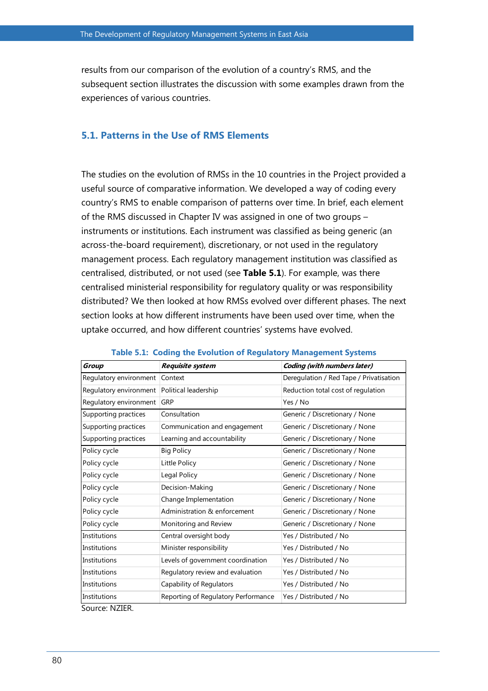results from our comparison of the evolution of a country's RMS, and the subsequent section illustrates the discussion with some examples drawn from the experiences of various countries.

## **5.1. Patterns in the Use of RMS Elements**

The studies on the evolution of RMSs in the 10 countries in the Project provided a useful source of comparative information. We developed a way of coding every country's RMS to enable comparison of patterns over time. In brief, each element of the RMS discussed in Chapter IV was assigned in one of two groups – instruments or institutions. Each instrument was classified as being generic (an across-the-board requirement), discretionary, or not used in the regulatory management process. Each regulatory management institution was classified as centralised, distributed, or not used (see **Table 5.1**). For example, was there centralised ministerial responsibility for regulatory quality or was responsibility distributed? We then looked at how RMSs evolved over different phases. The next section looks at how different instruments have been used over time, when the uptake occurred, and how different countries' systems have evolved.

| Group                  | Requisite system                    | <b>Coding (with numbers later)</b>      |
|------------------------|-------------------------------------|-----------------------------------------|
| Regulatory environment | Context                             | Deregulation / Red Tape / Privatisation |
| Regulatory environment | Political leadership                | Reduction total cost of regulation      |
| Regulatory environment | GRP                                 | Yes / No                                |
| Supporting practices   | Consultation                        | Generic / Discretionary / None          |
| Supporting practices   | Communication and engagement        | Generic / Discretionary / None          |
| Supporting practices   | Learning and accountability         | Generic / Discretionary / None          |
| Policy cycle           | <b>Big Policy</b>                   | Generic / Discretionary / None          |
| Policy cycle           | Little Policy                       | Generic / Discretionary / None          |
| Policy cycle           | Legal Policy                        | Generic / Discretionary / None          |
| Policy cycle           | Decision-Making                     | Generic / Discretionary / None          |
| Policy cycle           | Change Implementation               | Generic / Discretionary / None          |
| Policy cycle           | Administration & enforcement        | Generic / Discretionary / None          |
| Policy cycle           | Monitoring and Review               | Generic / Discretionary / None          |
| Institutions           | Central oversight body              | Yes / Distributed / No                  |
| Institutions           | Minister responsibility             | Yes / Distributed / No                  |
| Institutions           | Levels of government coordination   | Yes / Distributed / No                  |
| Institutions           | Regulatory review and evaluation    | Yes / Distributed / No                  |
| Institutions           | Capability of Regulators            | Yes / Distributed / No                  |
| Institutions           | Reporting of Regulatory Performance | Yes / Distributed / No                  |

#### **Table 5.1: Coding the Evolution of Regulatory Management Systems**

Source: NZIER.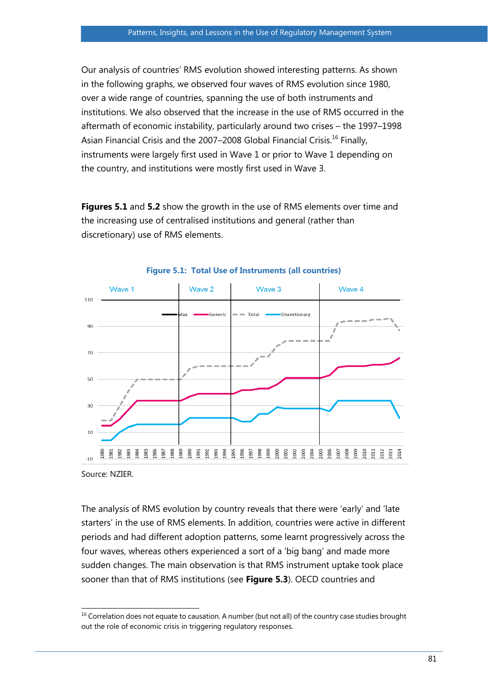Our analysis of countries' RMS evolution showed interesting patterns. As shown in the following graphs, we observed four waves of RMS evolution since 1980, over a wide range of countries, spanning the use of both instruments and institutions. We also observed that the increase in the use of RMS occurred in the aftermath of economic instability, particularly around two crises – the 1997–1998 Asian Financial Crisis and the 2007–2008 Global Financial Crisis.<sup>16</sup> Finally, instruments were largely first used in Wave 1 or prior to Wave 1 depending on the country, and institutions were mostly first used in Wave 3.

**Figures 5.1** and **5.2** show the growth in the use of RMS elements over time and the increasing use of centralised institutions and general (rather than discretionary) use of RMS elements.



#### **Figure 5.1: Total Use of Instruments (all countries)**

Source: NZIER.

The analysis of RMS evolution by country reveals that there were 'early' and 'late starters' in the use of RMS elements. In addition, countries were active in different periods and had different adoption patterns, some learnt progressively across the four waves, whereas others experienced a sort of a 'big bang' and made more sudden changes. The main observation is that RMS instrument uptake took place sooner than that of RMS institutions (see **Figure 5.3**). OECD countries and

 $\overline{a}$  $<sup>16</sup>$  Correlation does not equate to causation. A number (but not all) of the country case studies brought</sup> out the role of economic crisis in triggering regulatory responses.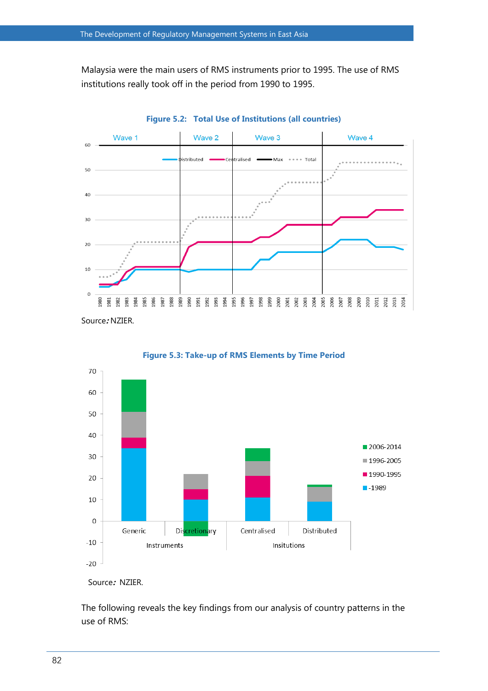Malaysia were the main users of RMS instruments prior to 1995. The use of RMS institutions really took off in the period from 1990 to 1995.









The following reveals the key findings from our analysis of country patterns in the use of RMS:

Source**:** NZIER.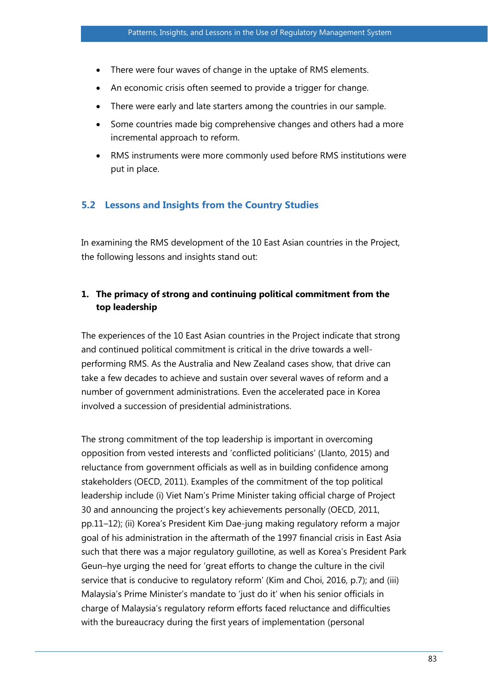- There were four waves of change in the uptake of RMS elements.
- An economic crisis often seemed to provide a trigger for change.
- There were early and late starters among the countries in our sample.
- Some countries made big comprehensive changes and others had a more incremental approach to reform.
- RMS instruments were more commonly used before RMS institutions were put in place.

#### **5.2 Lessons and Insights from the Country Studies**

In examining the RMS development of the 10 East Asian countries in the Project, the following lessons and insights stand out:

## **1. The primacy of strong and continuing political commitment from the top leadership**

The experiences of the 10 East Asian countries in the Project indicate that strong and continued political commitment is critical in the drive towards a wellperforming RMS. As the Australia and New Zealand cases show, that drive can take a few decades to achieve and sustain over several waves of reform and a number of government administrations. Even the accelerated pace in Korea involved a succession of presidential administrations.

The strong commitment of the top leadership is important in overcoming opposition from vested interests and 'conflicted politicians' (Llanto, 2015) and reluctance from government officials as well as in building confidence among stakeholders (OECD, 2011). Examples of the commitment of the top political leadership include (i) Viet Nam's Prime Minister taking official charge of Project 30 and announcing the project's key achievements personally (OECD, 2011, pp.11–12); (ii) Korea's President Kim Dae-jung making regulatory reform a major goal of his administration in the aftermath of the 1997 financial crisis in East Asia such that there was a major regulatory guillotine, as well as Korea's President Park Geun–hye urging the need for 'great efforts to change the culture in the civil service that is conducive to regulatory reform' (Kim and Choi, 2016, p.7); and (iii) Malaysia's Prime Minister's mandate to 'just do it' when his senior officials in charge of Malaysia's regulatory reform efforts faced reluctance and difficulties with the bureaucracy during the first years of implementation (personal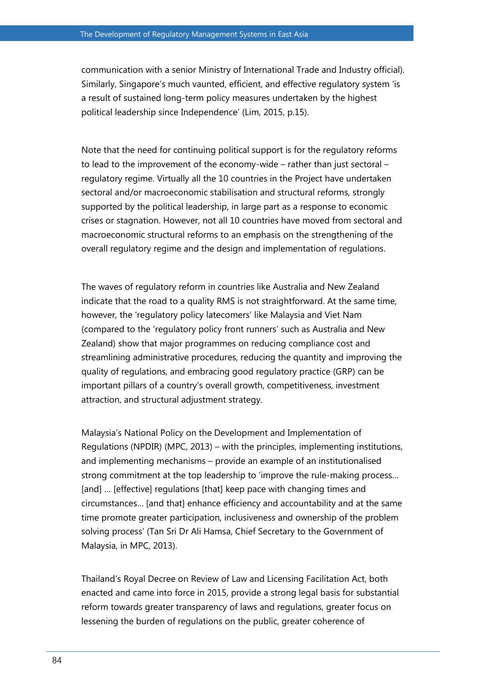communication with a senior Ministry of International Trade and Industry official). Similarly, Singapore's much vaunted, efficient, and effective regulatory system 'is a result of sustained long-term policy measures undertaken by the highest political leadership since Independence' (Lim, 2015, p.15).

Note that the need for continuing political support is for the regulatory reforms to lead to the improvement of the economy-wide – rather than just sectoral – regulatory regime. Virtually all the 10 countries in the Project have undertaken sectoral and/or macroeconomic stabilisation and structural reforms, strongly supported by the political leadership, in large part as a response to economic crises or stagnation. However, not all 10 countries have moved from sectoral and macroeconomic structural reforms to an emphasis on the strengthening of the overall regulatory regime and the design and implementation of regulations.

The waves of regulatory reform in countries like Australia and New Zealand indicate that the road to a quality RMS is not straightforward. At the same time, however, the 'regulatory policy latecomers' like Malaysia and Viet Nam (compared to the 'regulatory policy front runners' such as Australia and New Zealand) show that major programmes on reducing compliance cost and streamlining administrative procedures, reducing the quantity and improving the quality of regulations, and embracing good regulatory practice (GRP) can be important pillars of a country's overall growth, competitiveness, investment attraction, and structural adjustment strategy.

Malaysia's National Policy on the Development and Implementation of Regulations (NPDIR) (MPC, 2013) – with the principles, implementing institutions, and implementing mechanisms – provide an example of an institutionalised strong commitment at the top leadership to 'improve the rule-making process… [and] ... [effective] regulations [that] keep pace with changing times and circumstances… [and that] enhance efficiency and accountability and at the same time promote greater participation, inclusiveness and ownership of the problem solving process' (Tan Sri Dr Ali Hamsa, Chief Secretary to the Government of Malaysia, in MPC, 2013).

Thailand's Royal Decree on Review of Law and Licensing Facilitation Act, both enacted and came into force in 2015, provide a strong legal basis for substantial reform towards greater transparency of laws and regulations, greater focus on lessening the burden of regulations on the public, greater coherence of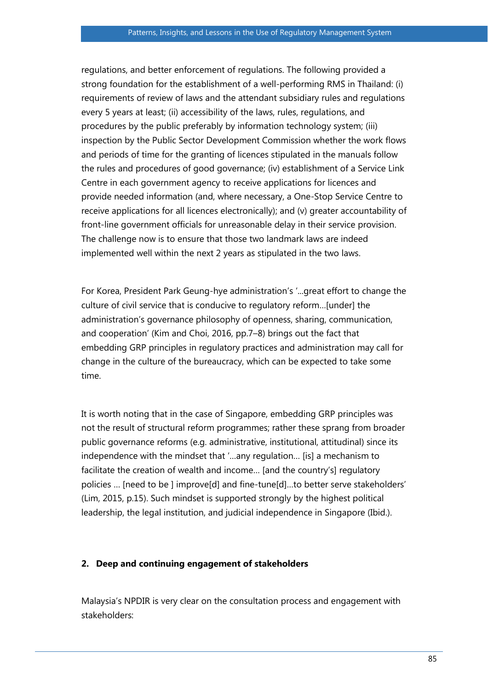regulations, and better enforcement of regulations. The following provided a strong foundation for the establishment of a well-performing RMS in Thailand: (i) requirements of review of laws and the attendant subsidiary rules and regulations every 5 years at least; (ii) accessibility of the laws, rules, regulations, and procedures by the public preferably by information technology system; (iii) inspection by the Public Sector Development Commission whether the work flows and periods of time for the granting of licences stipulated in the manuals follow the rules and procedures of good governance; (iv) establishment of a Service Link Centre in each government agency to receive applications for licences and provide needed information (and, where necessary, a One-Stop Service Centre to receive applications for all licences electronically); and (v) greater accountability of front-line government officials for unreasonable delay in their service provision. The challenge now is to ensure that those two landmark laws are indeed implemented well within the next 2 years as stipulated in the two laws.

For Korea, President Park Geung-hye administration's '...great effort to change the culture of civil service that is conducive to regulatory reform…[under] the administration's governance philosophy of openness, sharing, communication, and cooperation' (Kim and Choi, 2016, pp.7–8) brings out the fact that embedding GRP principles in regulatory practices and administration may call for change in the culture of the bureaucracy, which can be expected to take some time.

It is worth noting that in the case of Singapore, embedding GRP principles was not the result of structural reform programmes; rather these sprang from broader public governance reforms (e.g. administrative, institutional, attitudinal) since its independence with the mindset that '…any regulation… [is] a mechanism to facilitate the creation of wealth and income… [and the country's] regulatory policies … [need to be ] improve[d] and fine-tune[d]…to better serve stakeholders' (Lim, 2015, p.15). Such mindset is supported strongly by the highest political leadership, the legal institution, and judicial independence in Singapore (Ibid.).

#### **2. Deep and continuing engagement of stakeholders**

Malaysia's NPDIR is very clear on the consultation process and engagement with stakeholders: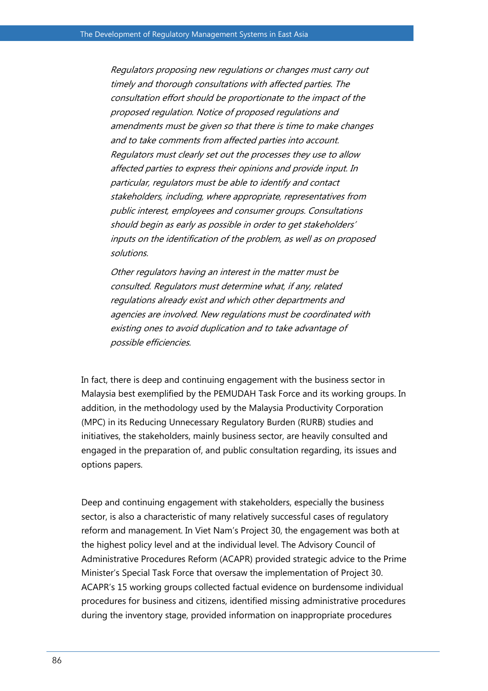Regulators proposing new regulations or changes must carry out timely and thorough consultations with affected parties. The consultation effort should be proportionate to the impact of the proposed regulation. Notice of proposed regulations and amendments must be given so that there is time to make changes and to take comments from affected parties into account. Regulators must clearly set out the processes they use to allow affected parties to express their opinions and provide input. In particular, regulators must be able to identify and contact stakeholders, including, where appropriate, representatives from public interest, employees and consumer groups. Consultations should begin as early as possible in order to get stakeholders' inputs on the identification of the problem, as well as on proposed solutions.

Other regulators having an interest in the matter must be consulted. Regulators must determine what, if any, related regulations already exist and which other departments and agencies are involved. New regulations must be coordinated with existing ones to avoid duplication and to take advantage of possible efficiencies.

In fact, there is deep and continuing engagement with the business sector in Malaysia best exemplified by the PEMUDAH Task Force and its working groups. In addition, in the methodology used by the Malaysia Productivity Corporation (MPC) in its Reducing Unnecessary Regulatory Burden (RURB) studies and initiatives, the stakeholders, mainly business sector, are heavily consulted and engaged in the preparation of, and public consultation regarding, its issues and options papers.

Deep and continuing engagement with stakeholders, especially the business sector, is also a characteristic of many relatively successful cases of regulatory reform and management. In Viet Nam's Project 30, the engagement was both at the highest policy level and at the individual level. The Advisory Council of Administrative Procedures Reform (ACAPR) provided strategic advice to the Prime Minister's Special Task Force that oversaw the implementation of Project 30. ACAPR's 15 working groups collected factual evidence on burdensome individual procedures for business and citizens, identified missing administrative procedures during the inventory stage, provided information on inappropriate procedures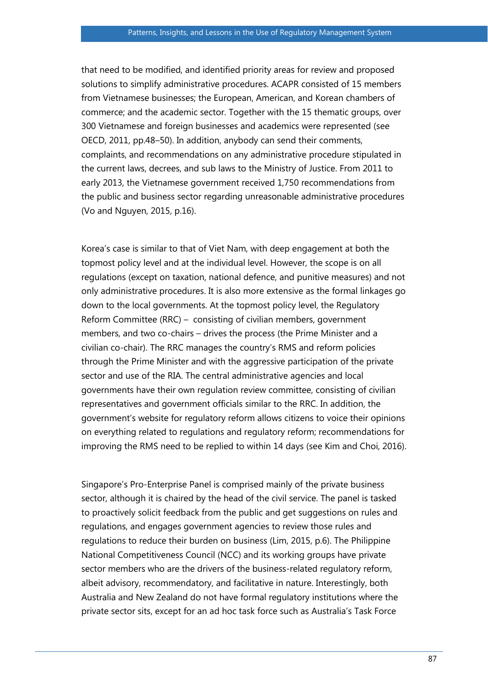that need to be modified, and identified priority areas for review and proposed solutions to simplify administrative procedures. ACAPR consisted of 15 members from Vietnamese businesses; the European, American, and Korean chambers of commerce; and the academic sector. Together with the 15 thematic groups, over 300 Vietnamese and foreign businesses and academics were represented (see OECD, 2011, pp.48–50). In addition, anybody can send their comments, complaints, and recommendations on any administrative procedure stipulated in the current laws, decrees, and sub laws to the Ministry of Justice. From 2011 to early 2013, the Vietnamese government received 1,750 recommendations from the public and business sector regarding unreasonable administrative procedures (Vo and Nguyen, 2015, p.16).

Korea's case is similar to that of Viet Nam, with deep engagement at both the topmost policy level and at the individual level. However, the scope is on all regulations (except on taxation, national defence, and punitive measures) and not only administrative procedures. It is also more extensive as the formal linkages go down to the local governments. At the topmost policy level, the Regulatory Reform Committee (RRC) – consisting of civilian members, government members, and two co-chairs – drives the process (the Prime Minister and a civilian co-chair). The RRC manages the country's RMS and reform policies through the Prime Minister and with the aggressive participation of the private sector and use of the RIA. The central administrative agencies and local governments have their own regulation review committee, consisting of civilian representatives and government officials similar to the RRC. In addition, the government's website for regulatory reform allows citizens to voice their opinions on everything related to regulations and regulatory reform; recommendations for improving the RMS need to be replied to within 14 days (see Kim and Choi, 2016).

Singapore's Pro-Enterprise Panel is comprised mainly of the private business sector, although it is chaired by the head of the civil service. The panel is tasked to proactively solicit feedback from the public and get suggestions on rules and regulations, and engages government agencies to review those rules and regulations to reduce their burden on business (Lim, 2015, p.6). The Philippine National Competitiveness Council (NCC) and its working groups have private sector members who are the drivers of the business-related regulatory reform, albeit advisory, recommendatory, and facilitative in nature. Interestingly, both Australia and New Zealand do not have formal regulatory institutions where the private sector sits, except for an ad hoc task force such as Australia's Task Force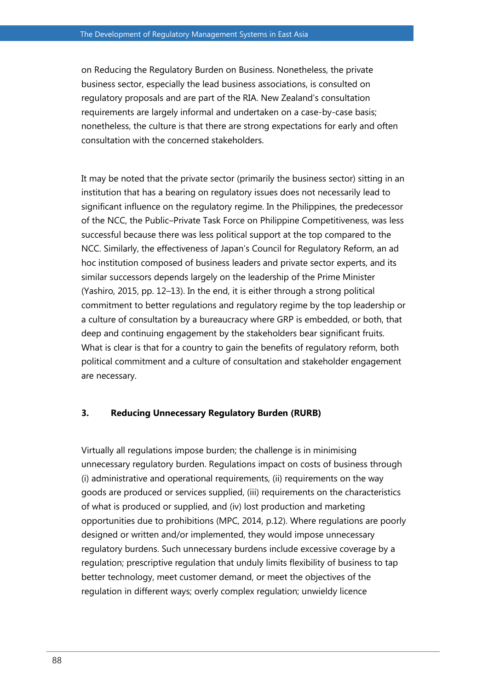on Reducing the Regulatory Burden on Business. Nonetheless, the private business sector, especially the lead business associations, is consulted on regulatory proposals and are part of the RIA. New Zealand's consultation requirements are largely informal and undertaken on a case-by-case basis; nonetheless, the culture is that there are strong expectations for early and often consultation with the concerned stakeholders.

It may be noted that the private sector (primarily the business sector) sitting in an institution that has a bearing on regulatory issues does not necessarily lead to significant influence on the regulatory regime. In the Philippines, the predecessor of the NCC, the Public–Private Task Force on Philippine Competitiveness, was less successful because there was less political support at the top compared to the NCC. Similarly, the effectiveness of Japan's Council for Regulatory Reform, an ad hoc institution composed of business leaders and private sector experts, and its similar successors depends largely on the leadership of the Prime Minister (Yashiro, 2015, pp. 12–13). In the end, it is either through a strong political commitment to better regulations and regulatory regime by the top leadership or a culture of consultation by a bureaucracy where GRP is embedded, or both, that deep and continuing engagement by the stakeholders bear significant fruits. What is clear is that for a country to gain the benefits of regulatory reform, both political commitment and a culture of consultation and stakeholder engagement are necessary.

#### **3. Reducing Unnecessary Regulatory Burden (RURB)**

Virtually all regulations impose burden; the challenge is in minimising unnecessary regulatory burden. Regulations impact on costs of business through (i) administrative and operational requirements, (ii) requirements on the way goods are produced or services supplied, (iii) requirements on the characteristics of what is produced or supplied, and (iv) lost production and marketing opportunities due to prohibitions (MPC, 2014, p.12). Where regulations are poorly designed or written and/or implemented, they would impose unnecessary regulatory burdens. Such unnecessary burdens include excessive coverage by a regulation; prescriptive regulation that unduly limits flexibility of business to tap better technology, meet customer demand, or meet the objectives of the regulation in different ways; overly complex regulation; unwieldy licence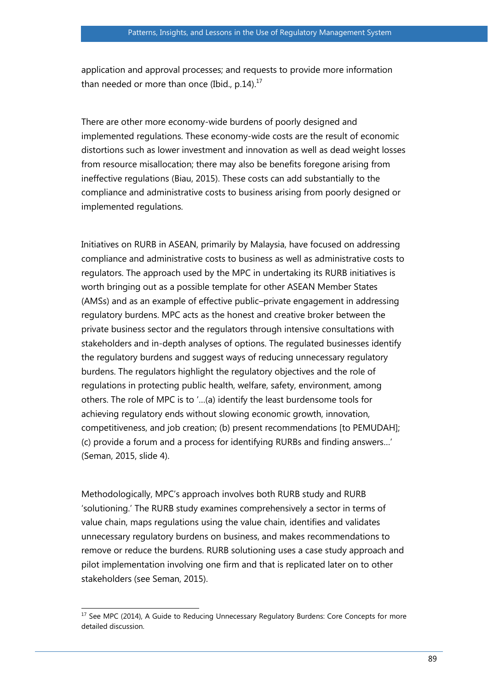application and approval processes; and requests to provide more information than needed or more than once (Ibid.,  $p.14$ ).<sup>17</sup>

There are other more economy-wide burdens of poorly designed and implemented regulations. These economy-wide costs are the result of economic distortions such as lower investment and innovation as well as dead weight losses from resource misallocation; there may also be benefits foregone arising from ineffective regulations (Biau, 2015). These costs can add substantially to the compliance and administrative costs to business arising from poorly designed or implemented regulations.

Initiatives on RURB in ASEAN, primarily by Malaysia, have focused on addressing compliance and administrative costs to business as well as administrative costs to regulators. The approach used by the MPC in undertaking its RURB initiatives is worth bringing out as a possible template for other ASEAN Member States (AMSs) and as an example of effective public–private engagement in addressing regulatory burdens. MPC acts as the honest and creative broker between the private business sector and the regulators through intensive consultations with stakeholders and in-depth analyses of options. The regulated businesses identify the regulatory burdens and suggest ways of reducing unnecessary regulatory burdens. The regulators highlight the regulatory objectives and the role of regulations in protecting public health, welfare, safety, environment, among others. The role of MPC is to '…(a) identify the least burdensome tools for achieving regulatory ends without slowing economic growth, innovation, competitiveness, and job creation; (b) present recommendations [to PEMUDAH]; (c) provide a forum and a process for identifying RURBs and finding answers…' (Seman, 2015, slide 4).

Methodologically, MPC's approach involves both RURB study and RURB 'solutioning.' The RURB study examines comprehensively a sector in terms of value chain, maps regulations using the value chain, identifies and validates unnecessary regulatory burdens on business, and makes recommendations to remove or reduce the burdens. RURB solutioning uses a case study approach and pilot implementation involving one firm and that is replicated later on to other stakeholders (see Seman, 2015).

 $\overline{a}$  $17$  See MPC (2014), A Guide to Reducing Unnecessary Regulatory Burdens: Core Concepts for more detailed discussion.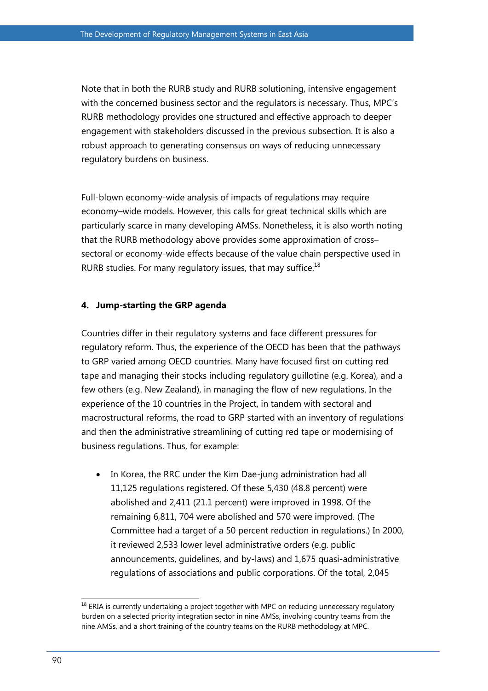Note that in both the RURB study and RURB solutioning, intensive engagement with the concerned business sector and the regulators is necessary. Thus, MPC's RURB methodology provides one structured and effective approach to deeper engagement with stakeholders discussed in the previous subsection. It is also a robust approach to generating consensus on ways of reducing unnecessary regulatory burdens on business.

Full-blown economy-wide analysis of impacts of regulations may require economy–wide models. However, this calls for great technical skills which are particularly scarce in many developing AMSs. Nonetheless, it is also worth noting that the RURB methodology above provides some approximation of cross– sectoral or economy-wide effects because of the value chain perspective used in RURB studies. For many regulatory issues, that may suffice. $18$ 

#### **4. Jump-starting the GRP agenda**

Countries differ in their regulatory systems and face different pressures for regulatory reform. Thus, the experience of the OECD has been that the pathways to GRP varied among OECD countries. Many have focused first on cutting red tape and managing their stocks including regulatory guillotine (e.g. Korea), and a few others (e.g. New Zealand), in managing the flow of new regulations. In the experience of the 10 countries in the Project, in tandem with sectoral and macrostructural reforms, the road to GRP started with an inventory of regulations and then the administrative streamlining of cutting red tape or modernising of business regulations. Thus, for example:

 In Korea, the RRC under the Kim Dae-jung administration had all 11,125 regulations registered. Of these 5,430 (48.8 percent) were abolished and 2,411 (21.1 percent) were improved in 1998. Of the remaining 6,811, 704 were abolished and 570 were improved. (The Committee had a target of a 50 percent reduction in regulations.) In 2000, it reviewed 2,533 lower level administrative orders (e.g. public announcements, guidelines, and by-laws) and 1,675 quasi-administrative regulations of associations and public corporations. Of the total, 2,045

 $\overline{a}$  $18$  ERIA is currently undertaking a project together with MPC on reducing unnecessary regulatory burden on a selected priority integration sector in nine AMSs, involving country teams from the nine AMSs, and a short training of the country teams on the RURB methodology at MPC.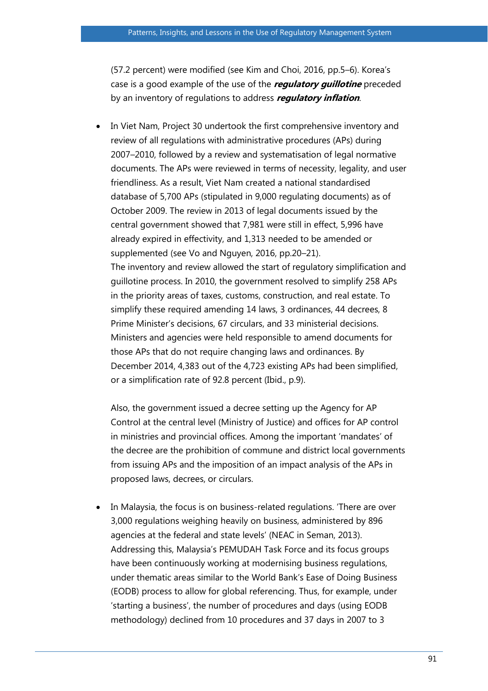(57.2 percent) were modified (see Kim and Choi, 2016, pp.5–6). Korea's case is a good example of the use of the **regulatory guillotine** preceded by an inventory of regulations to address **regulatory inflation**.

 In Viet Nam, Project 30 undertook the first comprehensive inventory and review of all regulations with administrative procedures (APs) during 2007–2010, followed by a review and systematisation of legal normative documents. The APs were reviewed in terms of necessity, legality, and user friendliness. As a result, Viet Nam created a national standardised database of 5,700 APs (stipulated in 9,000 regulating documents) as of October 2009. The review in 2013 of legal documents issued by the central government showed that 7,981 were still in effect, 5,996 have already expired in effectivity, and 1,313 needed to be amended or supplemented (see Vo and Nguyen, 2016, pp.20–21). The inventory and review allowed the start of regulatory simplification and guillotine process. In 2010, the government resolved to simplify 258 APs in the priority areas of taxes, customs, construction, and real estate. To simplify these required amending 14 laws, 3 ordinances, 44 decrees, 8 Prime Minister's decisions, 67 circulars, and 33 ministerial decisions. Ministers and agencies were held responsible to amend documents for those APs that do not require changing laws and ordinances. By December 2014, 4,383 out of the 4,723 existing APs had been simplified, or a simplification rate of 92.8 percent (Ibid., p.9).

Also, the government issued a decree setting up the Agency for AP Control at the central level (Ministry of Justice) and offices for AP control in ministries and provincial offices. Among the important 'mandates' of the decree are the prohibition of commune and district local governments from issuing APs and the imposition of an impact analysis of the APs in proposed laws, decrees, or circulars.

 In Malaysia, the focus is on business-related regulations. 'There are over 3,000 regulations weighing heavily on business, administered by 896 agencies at the federal and state levels' (NEAC in Seman, 2013). Addressing this, Malaysia's PEMUDAH Task Force and its focus groups have been continuously working at modernising business regulations, under thematic areas similar to the World Bank's Ease of Doing Business (EODB) process to allow for global referencing. Thus, for example, under 'starting a business', the number of procedures and days (using EODB methodology) declined from 10 procedures and 37 days in 2007 to 3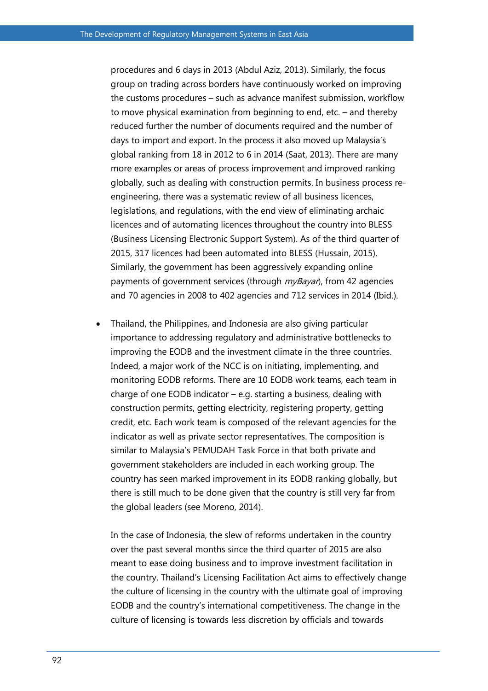procedures and 6 days in 2013 (Abdul Aziz, 2013). Similarly, the focus group on trading across borders have continuously worked on improving the customs procedures – such as advance manifest submission, workflow to move physical examination from beginning to end, etc. – and thereby reduced further the number of documents required and the number of days to import and export. In the process it also moved up Malaysia's global ranking from 18 in 2012 to 6 in 2014 (Saat, 2013). There are many more examples or areas of process improvement and improved ranking globally, such as dealing with construction permits. In business process reengineering, there was a systematic review of all business licences, legislations, and regulations, with the end view of eliminating archaic licences and of automating licences throughout the country into BLESS (Business Licensing Electronic Support System). As of the third quarter of 2015, 317 licences had been automated into BLESS (Hussain, 2015). Similarly, the government has been aggressively expanding online payments of government services (through  $m\nu\beta\partial\gamma$ ), from 42 agencies and 70 agencies in 2008 to 402 agencies and 712 services in 2014 (Ibid.).

 Thailand, the Philippines, and Indonesia are also giving particular importance to addressing regulatory and administrative bottlenecks to improving the EODB and the investment climate in the three countries. Indeed, a major work of the NCC is on initiating, implementing, and monitoring EODB reforms. There are 10 EODB work teams, each team in charge of one EODB indicator – e.g. starting a business, dealing with construction permits, getting electricity, registering property, getting credit, etc. Each work team is composed of the relevant agencies for the indicator as well as private sector representatives. The composition is similar to Malaysia's PEMUDAH Task Force in that both private and government stakeholders are included in each working group. The country has seen marked improvement in its EODB ranking globally, but there is still much to be done given that the country is still very far from the global leaders (see Moreno, 2014).

In the case of Indonesia, the slew of reforms undertaken in the country over the past several months since the third quarter of 2015 are also meant to ease doing business and to improve investment facilitation in the country. Thailand's Licensing Facilitation Act aims to effectively change the culture of licensing in the country with the ultimate goal of improving EODB and the country's international competitiveness. The change in the culture of licensing is towards less discretion by officials and towards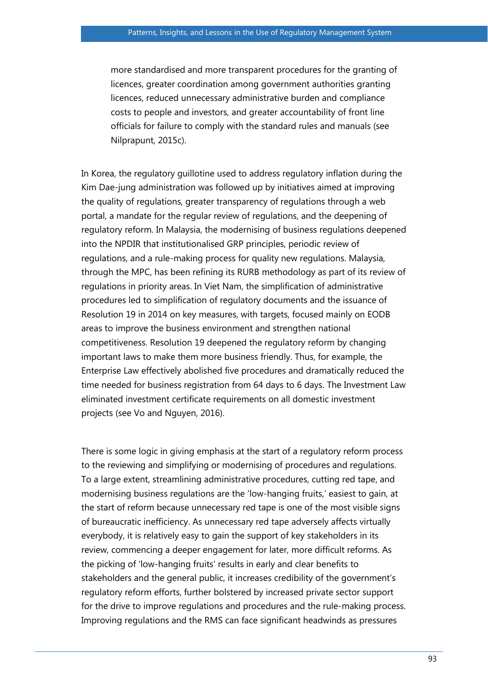more standardised and more transparent procedures for the granting of licences, greater coordination among government authorities granting licences, reduced unnecessary administrative burden and compliance costs to people and investors, and greater accountability of front line officials for failure to comply with the standard rules and manuals (see Nilprapunt, 2015c).

In Korea, the regulatory guillotine used to address regulatory inflation during the Kim Dae-jung administration was followed up by initiatives aimed at improving the quality of regulations, greater transparency of regulations through a web portal, a mandate for the regular review of regulations, and the deepening of regulatory reform. In Malaysia, the modernising of business regulations deepened into the NPDIR that institutionalised GRP principles, periodic review of regulations, and a rule-making process for quality new regulations. Malaysia, through the MPC, has been refining its RURB methodology as part of its review of regulations in priority areas. In Viet Nam, the simplification of administrative procedures led to simplification of regulatory documents and the issuance of Resolution 19 in 2014 on key measures, with targets, focused mainly on EODB areas to improve the business environment and strengthen national competitiveness. Resolution 19 deepened the regulatory reform by changing important laws to make them more business friendly. Thus, for example, the Enterprise Law effectively abolished five procedures and dramatically reduced the time needed for business registration from 64 days to 6 days. The Investment Law eliminated investment certificate requirements on all domestic investment projects (see Vo and Nguyen, 2016).

There is some logic in giving emphasis at the start of a regulatory reform process to the reviewing and simplifying or modernising of procedures and regulations. To a large extent, streamlining administrative procedures, cutting red tape, and modernising business regulations are the 'low-hanging fruits,' easiest to gain, at the start of reform because unnecessary red tape is one of the most visible signs of bureaucratic inefficiency. As unnecessary red tape adversely affects virtually everybody, it is relatively easy to gain the support of key stakeholders in its review, commencing a deeper engagement for later, more difficult reforms. As the picking of 'low-hanging fruits' results in early and clear benefits to stakeholders and the general public, it increases credibility of the government's regulatory reform efforts, further bolstered by increased private sector support for the drive to improve regulations and procedures and the rule-making process. Improving regulations and the RMS can face significant headwinds as pressures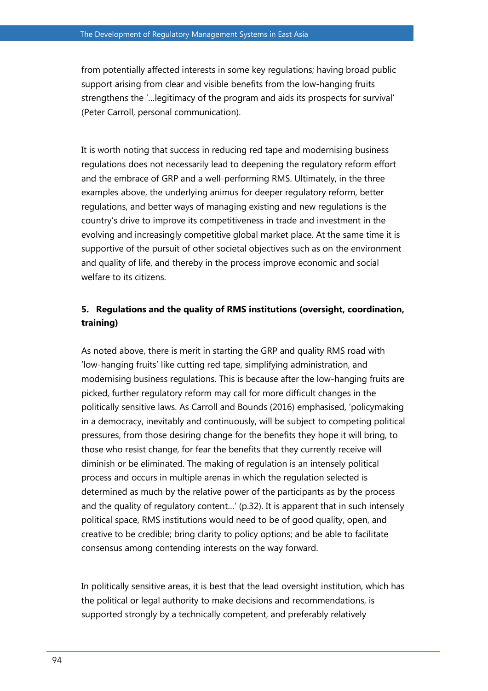from potentially affected interests in some key regulations; having broad public support arising from clear and visible benefits from the low-hanging fruits strengthens the '…legitimacy of the program and aids its prospects for survival' (Peter Carroll, personal communication).

It is worth noting that success in reducing red tape and modernising business regulations does not necessarily lead to deepening the regulatory reform effort and the embrace of GRP and a well-performing RMS. Ultimately, in the three examples above, the underlying animus for deeper regulatory reform, better regulations, and better ways of managing existing and new regulations is the country's drive to improve its competitiveness in trade and investment in the evolving and increasingly competitive global market place. At the same time it is supportive of the pursuit of other societal objectives such as on the environment and quality of life, and thereby in the process improve economic and social welfare to its citizens.

## **5. Regulations and the quality of RMS institutions (oversight, coordination, training)**

As noted above, there is merit in starting the GRP and quality RMS road with 'low-hanging fruits' like cutting red tape, simplifying administration, and modernising business regulations. This is because after the low-hanging fruits are picked, further regulatory reform may call for more difficult changes in the politically sensitive laws. As Carroll and Bounds (2016) emphasised, 'policymaking in a democracy, inevitably and continuously, will be subject to competing political pressures, from those desiring change for the benefits they hope it will bring, to those who resist change, for fear the benefits that they currently receive will diminish or be eliminated. The making of regulation is an intensely political process and occurs in multiple arenas in which the regulation selected is determined as much by the relative power of the participants as by the process and the quality of regulatory content…' (p.32). It is apparent that in such intensely political space, RMS institutions would need to be of good quality, open, and creative to be credible; bring clarity to policy options; and be able to facilitate consensus among contending interests on the way forward.

In politically sensitive areas, it is best that the lead oversight institution, which has the political or legal authority to make decisions and recommendations, is supported strongly by a technically competent, and preferably relatively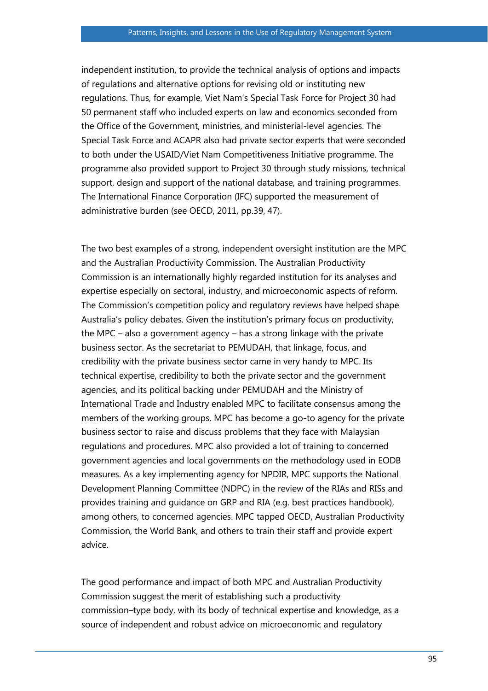independent institution, to provide the technical analysis of options and impacts of regulations and alternative options for revising old or instituting new regulations. Thus, for example, Viet Nam's Special Task Force for Project 30 had 50 permanent staff who included experts on law and economics seconded from the Office of the Government, ministries, and ministerial-level agencies. The Special Task Force and ACAPR also had private sector experts that were seconded to both under the USAID/Viet Nam Competitiveness Initiative programme. The programme also provided support to Project 30 through study missions, technical support, design and support of the national database, and training programmes. The International Finance Corporation (IFC) supported the measurement of administrative burden (see OECD, 2011, pp.39, 47).

The two best examples of a strong, independent oversight institution are the MPC and the Australian Productivity Commission. The Australian Productivity Commission is an internationally highly regarded institution for its analyses and expertise especially on sectoral, industry, and microeconomic aspects of reform. The Commission's competition policy and regulatory reviews have helped shape Australia's policy debates. Given the institution's primary focus on productivity, the MPC – also a government agency – has a strong linkage with the private business sector. As the secretariat to PEMUDAH, that linkage, focus, and credibility with the private business sector came in very handy to MPC. Its technical expertise, credibility to both the private sector and the government agencies, and its political backing under PEMUDAH and the Ministry of International Trade and Industry enabled MPC to facilitate consensus among the members of the working groups. MPC has become a go-to agency for the private business sector to raise and discuss problems that they face with Malaysian regulations and procedures. MPC also provided a lot of training to concerned government agencies and local governments on the methodology used in EODB measures. As a key implementing agency for NPDIR, MPC supports the National Development Planning Committee (NDPC) in the review of the RIAs and RISs and provides training and guidance on GRP and RIA (e.g. best practices handbook), among others, to concerned agencies. MPC tapped OECD, Australian Productivity Commission, the World Bank, and others to train their staff and provide expert advice.

The good performance and impact of both MPC and Australian Productivity Commission suggest the merit of establishing such a productivity commission–type body, with its body of technical expertise and knowledge, as a source of independent and robust advice on microeconomic and regulatory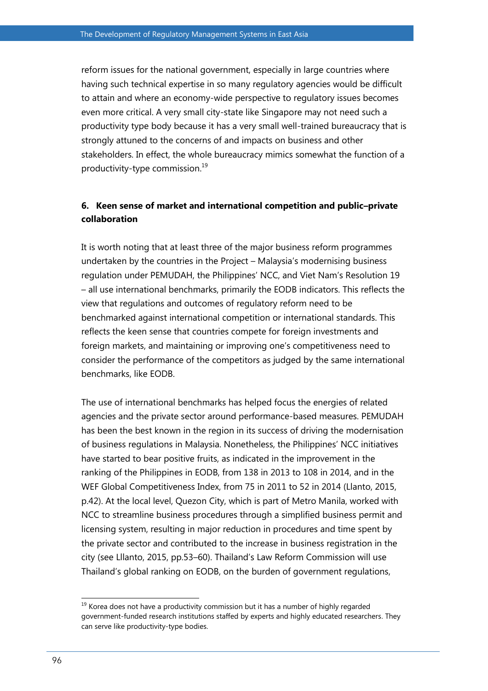reform issues for the national government, especially in large countries where having such technical expertise in so many regulatory agencies would be difficult to attain and where an economy-wide perspective to regulatory issues becomes even more critical. A very small city-state like Singapore may not need such a productivity type body because it has a very small well-trained bureaucracy that is strongly attuned to the concerns of and impacts on business and other stakeholders. In effect, the whole bureaucracy mimics somewhat the function of a productivity-type commission. 19

## **6. Keen sense of market and international competition and public–private collaboration**

It is worth noting that at least three of the major business reform programmes undertaken by the countries in the Project – Malaysia's modernising business regulation under PEMUDAH, the Philippines' NCC, and Viet Nam's Resolution 19 – all use international benchmarks, primarily the EODB indicators. This reflects the view that regulations and outcomes of regulatory reform need to be benchmarked against international competition or international standards. This reflects the keen sense that countries compete for foreign investments and foreign markets, and maintaining or improving one's competitiveness need to consider the performance of the competitors as judged by the same international benchmarks, like EODB.

The use of international benchmarks has helped focus the energies of related agencies and the private sector around performance-based measures. PEMUDAH has been the best known in the region in its success of driving the modernisation of business regulations in Malaysia. Nonetheless, the Philippines' NCC initiatives have started to bear positive fruits, as indicated in the improvement in the ranking of the Philippines in EODB, from 138 in 2013 to 108 in 2014, and in the WEF Global Competitiveness Index, from 75 in 2011 to 52 in 2014 (Llanto, 2015, p.42). At the local level, Quezon City, which is part of Metro Manila, worked with NCC to streamline business procedures through a simplified business permit and licensing system, resulting in major reduction in procedures and time spent by the private sector and contributed to the increase in business registration in the city (see Lllanto, 2015, pp.53–60). Thailand's Law Reform Commission will use Thailand's global ranking on EODB, on the burden of government regulations,

 $\overline{a}$ 

 $19$  Korea does not have a productivity commission but it has a number of highly regarded government-funded research institutions staffed by experts and highly educated researchers. They can serve like productivity-type bodies.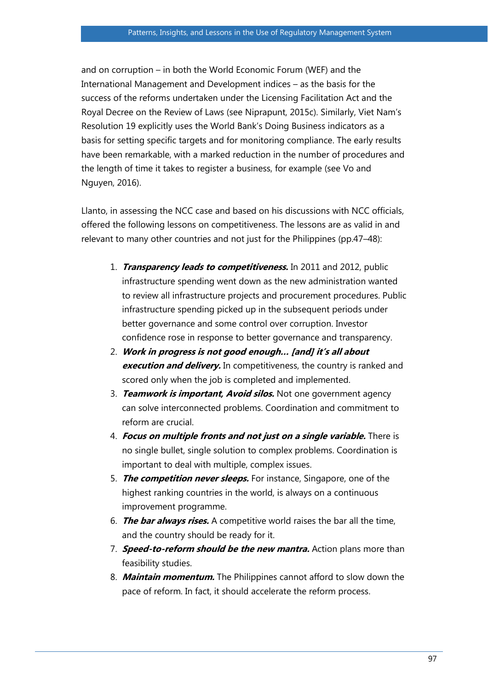and on corruption – in both the World Economic Forum (WEF) and the International Management and Development indices – as the basis for the success of the reforms undertaken under the Licensing Facilitation Act and the Royal Decree on the Review of Laws (see Niprapunt, 2015c). Similarly, Viet Nam's Resolution 19 explicitly uses the World Bank's Doing Business indicators as a basis for setting specific targets and for monitoring compliance. The early results have been remarkable, with a marked reduction in the number of procedures and the length of time it takes to register a business, for example (see Vo and Nguyen, 2016).

Llanto, in assessing the NCC case and based on his discussions with NCC officials, offered the following lessons on competitiveness. The lessons are as valid in and relevant to many other countries and not just for the Philippines (pp.47–48):

- 1. **Transparency leads to competitiveness.** In 2011 and 2012, public infrastructure spending went down as the new administration wanted to review all infrastructure projects and procurement procedures. Public infrastructure spending picked up in the subsequent periods under better governance and some control over corruption. Investor confidence rose in response to better governance and transparency.
- 2. **Work in progress is not good enough… [and] it's all about execution and delivery.** In competitiveness, the country is ranked and scored only when the job is completed and implemented.
- 3. **Teamwork is important, Avoid silos.** Not one government agency can solve interconnected problems. Coordination and commitment to reform are crucial.
- 4. **Focus on multiple fronts and not just on a single variable.** There is no single bullet, single solution to complex problems. Coordination is important to deal with multiple, complex issues.
- 5. **The competition never sleeps.** For instance, Singapore, one of the highest ranking countries in the world, is always on a continuous improvement programme.
- 6. **The bar always rises.** A competitive world raises the bar all the time, and the country should be ready for it.
- 7. **Speed-to-reform should be the new mantra.** Action plans more than feasibility studies.
- 8. **Maintain momentum.** The Philippines cannot afford to slow down the pace of reform. In fact, it should accelerate the reform process.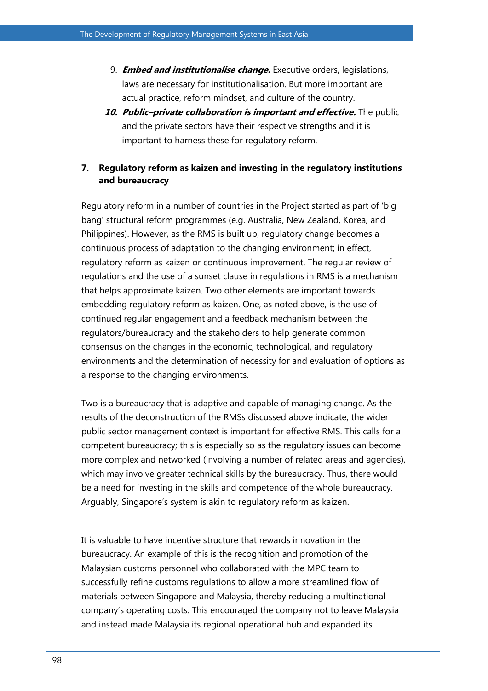- 9. **Embed and institutionalise change.** Executive orders, legislations, laws are necessary for institutionalisation. But more important are actual practice, reform mindset, and culture of the country.
- **10. Public–private collaboration is important and effective.** The public and the private sectors have their respective strengths and it is important to harness these for regulatory reform.

## **7. Regulatory reform as kaizen and investing in the regulatory institutions and bureaucracy**

Regulatory reform in a number of countries in the Project started as part of 'big bang' structural reform programmes (e.g. Australia, New Zealand, Korea, and Philippines). However, as the RMS is built up, regulatory change becomes a continuous process of adaptation to the changing environment; in effect, regulatory reform as kaizen or continuous improvement. The regular review of regulations and the use of a sunset clause in regulations in RMS is a mechanism that helps approximate kaizen. Two other elements are important towards embedding regulatory reform as kaizen. One, as noted above, is the use of continued regular engagement and a feedback mechanism between the regulators/bureaucracy and the stakeholders to help generate common consensus on the changes in the economic, technological, and regulatory environments and the determination of necessity for and evaluation of options as a response to the changing environments.

Two is a bureaucracy that is adaptive and capable of managing change. As the results of the deconstruction of the RMSs discussed above indicate, the wider public sector management context is important for effective RMS. This calls for a competent bureaucracy; this is especially so as the regulatory issues can become more complex and networked (involving a number of related areas and agencies), which may involve greater technical skills by the bureaucracy. Thus, there would be a need for investing in the skills and competence of the whole bureaucracy. Arguably, Singapore's system is akin to regulatory reform as kaizen.

It is valuable to have incentive structure that rewards innovation in the bureaucracy. An example of this is the recognition and promotion of the Malaysian customs personnel who collaborated with the MPC team to successfully refine customs regulations to allow a more streamlined flow of materials between Singapore and Malaysia, thereby reducing a multinational company's operating costs. This encouraged the company not to leave Malaysia and instead made Malaysia its regional operational hub and expanded its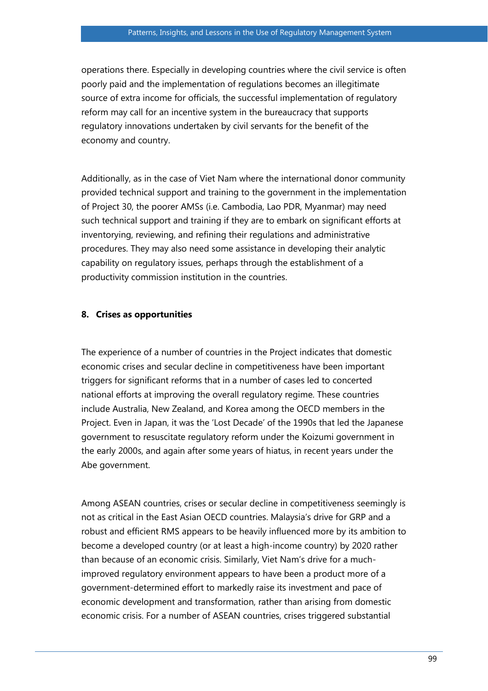operations there. Especially in developing countries where the civil service is often poorly paid and the implementation of regulations becomes an illegitimate source of extra income for officials, the successful implementation of regulatory reform may call for an incentive system in the bureaucracy that supports regulatory innovations undertaken by civil servants for the benefit of the economy and country.

Additionally, as in the case of Viet Nam where the international donor community provided technical support and training to the government in the implementation of Project 30, the poorer AMSs (i.e. Cambodia, Lao PDR, Myanmar) may need such technical support and training if they are to embark on significant efforts at inventorying, reviewing, and refining their regulations and administrative procedures. They may also need some assistance in developing their analytic capability on regulatory issues, perhaps through the establishment of a productivity commission institution in the countries.

#### **8. Crises as opportunities**

The experience of a number of countries in the Project indicates that domestic economic crises and secular decline in competitiveness have been important triggers for significant reforms that in a number of cases led to concerted national efforts at improving the overall regulatory regime. These countries include Australia, New Zealand, and Korea among the OECD members in the Project. Even in Japan, it was the 'Lost Decade' of the 1990s that led the Japanese government to resuscitate regulatory reform under the Koizumi government in the early 2000s, and again after some years of hiatus, in recent years under the Abe government.

Among ASEAN countries, crises or secular decline in competitiveness seemingly is not as critical in the East Asian OECD countries. Malaysia's drive for GRP and a robust and efficient RMS appears to be heavily influenced more by its ambition to become a developed country (or at least a high-income country) by 2020 rather than because of an economic crisis. Similarly, Viet Nam's drive for a muchimproved regulatory environment appears to have been a product more of a government-determined effort to markedly raise its investment and pace of economic development and transformation, rather than arising from domestic economic crisis. For a number of ASEAN countries, crises triggered substantial